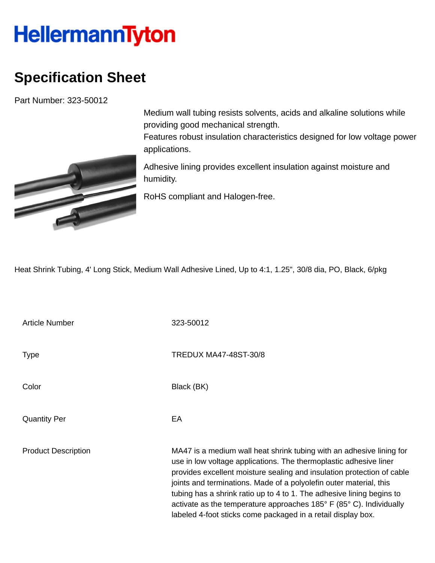## **HellermannTyton**

## **Specification Sheet**

Part Number: 323-50012



Medium wall tubing resists solvents, acids and alkaline solutions while providing good mechanical strength.

Features robust insulation characteristics designed for low voltage power applications.

Adhesive lining provides excellent insulation against moisture and humidity.

RoHS compliant and Halogen-free.

Heat Shrink Tubing, 4' Long Stick, Medium Wall Adhesive Lined, Up to 4:1, 1.25", 30/8 dia, PO, Black, 6/pkg

Article Number 323-50012

Quantity Per **EA** 

Type TREDUX MA47-48ST-30/8

Color Black (BK)

Product Description MA47 is a medium wall heat shrink tubing with an adhesive lining for use in low voltage applications. The thermoplastic adhesive liner provides excellent moisture sealing and insulation protection of cable joints and terminations. Made of a polyolefin outer material, this tubing has a shrink ratio up to 4 to 1. The adhesive lining begins to activate as the temperature approaches 185° F (85° C). Individually labeled 4-foot sticks come packaged in a retail display box.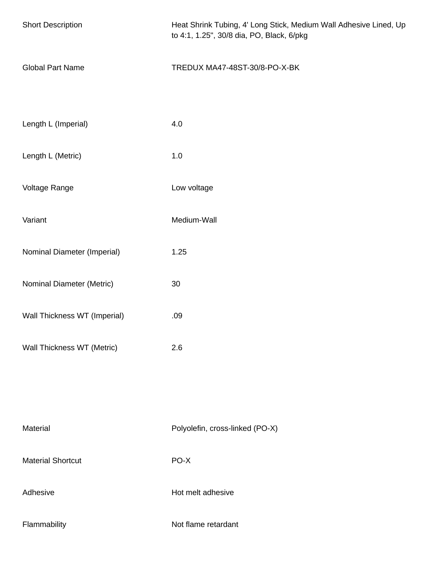| <b>Short Description</b>                                   | Heat Shrink Tubing, 4' Long Stick, Medium Wall Adhesive Lined, Up<br>to 4:1, 1.25", 30/8 dia, PO, Black, 6/pkg |
|------------------------------------------------------------|----------------------------------------------------------------------------------------------------------------|
| <b>Global Part Name</b>                                    | TREDUX MA47-48ST-30/8-PO-X-BK                                                                                  |
| Length L (Imperial)                                        | 4.0                                                                                                            |
| Length L (Metric)                                          | 1.0                                                                                                            |
| Voltage Range                                              | Low voltage                                                                                                    |
| Variant                                                    | Medium-Wall                                                                                                    |
| Nominal Diameter (Imperial)                                | 1.25                                                                                                           |
| Nominal Diameter (Metric)                                  | 30                                                                                                             |
| Wall Thickness WT (Imperial)<br>Wall Thickness WT (Metric) | .09<br>2.6                                                                                                     |
|                                                            |                                                                                                                |
|                                                            |                                                                                                                |
| Material                                                   | Polyolefin, cross-linked (PO-X)                                                                                |
| <b>Material Shortcut</b>                                   | PO-X                                                                                                           |
| Adhesive                                                   | Hot melt adhesive                                                                                              |
| Flammability                                               | Not flame retardant                                                                                            |